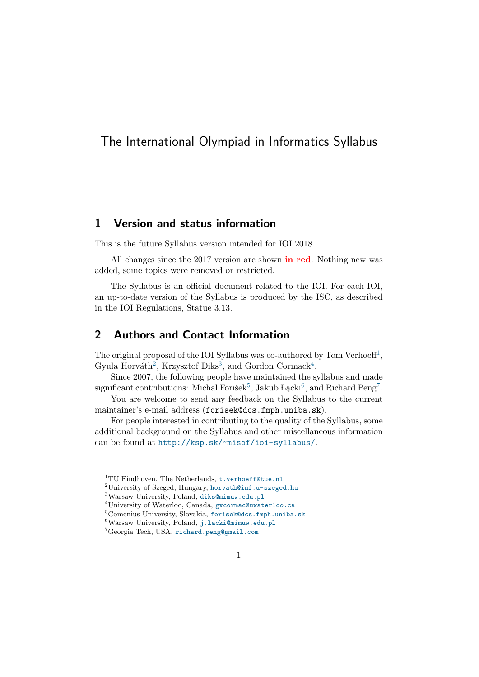# The International Olympiad in Informatics Syllabus

## 1 Version and status information

This is the future Syllabus version intended for IOI 2018.

All changes since the 2017 version are shown **in red**. Nothing new was added, some topics were removed or restricted.

The Syllabus is an official document related to the IOI. For each IOI, an up-to-date version of the Syllabus is produced by the ISC, as described in the IOI Regulations, Statue 3.13.

## 2 Authors and Contact Information

The original proposal of the IOI Syllabus was co-authored by Tom Verhoeff<sup>[1](#page-0-0)</sup>, Gyula Horváth<sup>[2](#page-0-1)</sup>, Krzysztof Diks<sup>[3](#page-0-2)</sup>, and Gordon Cormack<sup>[4](#page-0-3)</sup>.

Since 2007, the following people have maintained the syllabus and made significant contributions: Michal Forišek $^5$  $^5$ , Jakub Lącki $^6$  $^6$ , and Richard Peng<sup>[7](#page-0-6)</sup>.

You are welcome to send any feedback on the Syllabus to the current maintainer's e-mail address (forisek@dcs.fmph.uniba.sk).

For people interested in contributing to the quality of the Syllabus, some additional background on the Syllabus and other miscellaneous information can be found at <http://ksp.sk/~misof/ioi-syllabus/>.

<span id="page-0-0"></span> $1$ <sup>1</sup>TU Eindhoven, The Netherlands,  $t$ . verhoeff@tue.nl

<span id="page-0-1"></span><sup>&</sup>lt;sup>2</sup>University of Szeged, Hungary, <horvath@inf.u-szeged.hu>

<span id="page-0-2"></span><sup>3</sup>Warsaw University, Poland, <diks@mimuw.edu.pl>

<span id="page-0-3"></span><sup>4</sup>University of Waterloo, Canada, <gvcormac@uwaterloo.ca>

<span id="page-0-4"></span><sup>5</sup>Comenius University, Slovakia, <forisek@dcs.fmph.uniba.sk>

<span id="page-0-5"></span> $^6$  Warsaw University, Poland, <j.lacki@mimuw.edu.pl>

<span id="page-0-6"></span><sup>7</sup>Georgia Tech, USA, <richard.peng@gmail.com>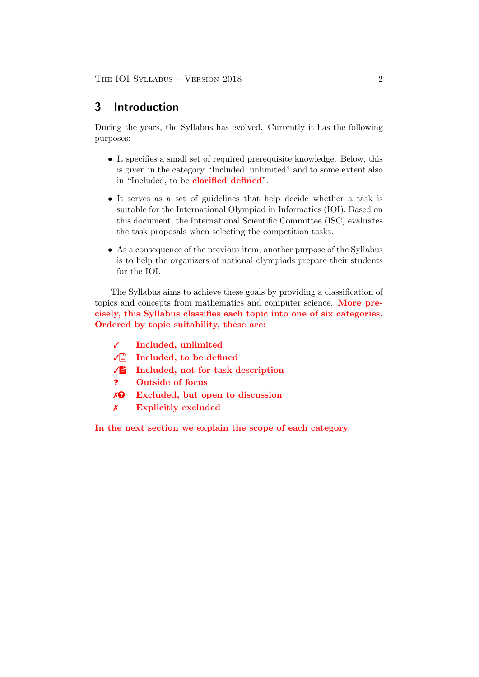## 3 Introduction

During the years, the Syllabus has evolved. Currently it has the following purposes:

- It specifies a small set of required prerequisite knowledge. Below, this is given in the category "Included, unlimited" and to some extent also in "Included, to be **clarified defined**".
- It serves as a set of guidelines that help decide whether a task is suitable for the International Olympiad in Informatics (IOI). Based on this document, the International Scientific Committee (ISC) evaluates the task proposals when selecting the competition tasks.
- As a consequence of the previous item, another purpose of the Syllabus is to help the organizers of national olympiads prepare their students for the IOI.

The Syllabus aims to achieve these goals by providing a classification of topics and concepts from mathematics and computer science. More precisely, this Syllabus classifies each topic into one of six categories. Ordered by topic suitability, these are:

- ✓ Included, unlimited
- $\sqrt{\equiv}$  Included, to be defined
- ✓V Included, not for task description
- ? Outside of focus
- $X<sup>Q</sup>$  Excluded, but open to discussion
- ✗ Explicitly excluded

In the next section we explain the scope of each category.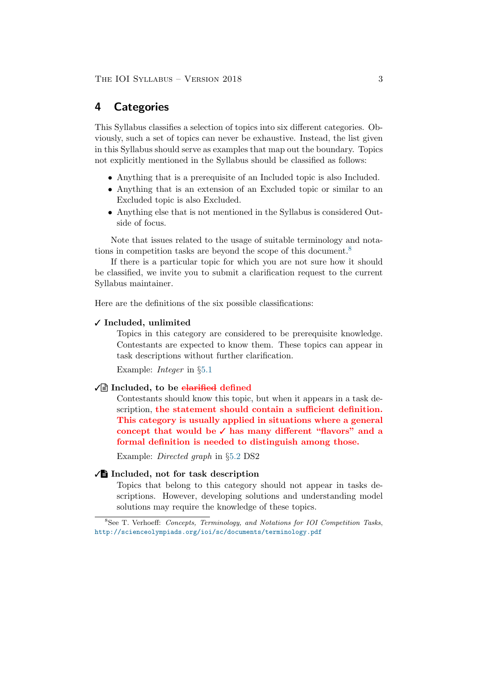## 4 Categories

This Syllabus classifies a selection of topics into six different categories. Obviously, such a set of topics can never be exhaustive. Instead, the list given in this Syllabus should serve as examples that map out the boundary. Topics not explicitly mentioned in the Syllabus should be classified as follows:

- Anything that is a prerequisite of an Included topic is also Included.
- Anything that is an extension of an Excluded topic or similar to an Excluded topic is also Excluded.
- Anything else that is not mentioned in the Syllabus is considered Outside of focus.

Note that issues related to the usage of suitable terminology and notations in competition tasks are beyond the scope of this document.[8](#page-2-0)

If there is a particular topic for which you are not sure how it should be classified, we invite you to submit a clarification request to the current Syllabus maintainer.

Here are the definitions of the six possible classifications:

#### ✓ Included, unlimited

Topics in this category are considered to be prerequisite knowledge. Contestants are expected to know them. These topics can appear in task descriptions without further clarification.

Example: *Integer* in  $\S5.1$  $\S5.1$ 

#### $\sqrt{\equiv}$  Included, to be clarified defined

Contestants should know this topic, but when it appears in a task description, the statement should contain a sufficient definition. This category is usually applied in situations where a general concept that would be ✓ has many different "flavors" and a formal definition is needed to distinguish among those.

Example: Directed graph in §[5.2](#page-5-0) DS2

### ✓V Included, not for task description

Topics that belong to this category should not appear in tasks descriptions. However, developing solutions and understanding model solutions may require the knowledge of these topics.

<span id="page-2-0"></span> $8$ See T. Verhoeff: Concepts, Terminology, and Notations for IOI Competition Tasks, <http://scienceolympiads.org/ioi/sc/documents/terminology.pdf>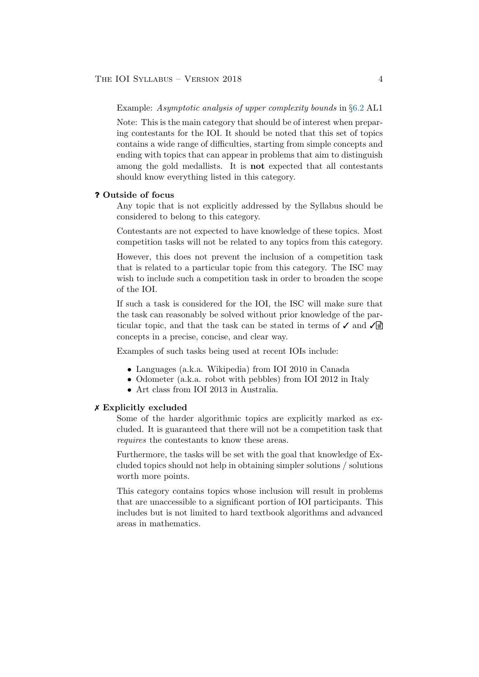Example: Asymptotic analysis of upper complexity bounds in §[6.2](#page-9-0) AL1

Note: This is the main category that should be of interest when preparing contestants for the IOI. It should be noted that this set of topics contains a wide range of difficulties, starting from simple concepts and ending with topics that can appear in problems that aim to distinguish among the gold medallists. It is not expected that all contestants should know everything listed in this category.

#### ? Outside of focus

Any topic that is not explicitly addressed by the Syllabus should be considered to belong to this category.

Contestants are not expected to have knowledge of these topics. Most competition tasks will not be related to any topics from this category.

However, this does not prevent the inclusion of a competition task that is related to a particular topic from this category. The ISC may wish to include such a competition task in order to broaden the scope of the IOI.

If such a task is considered for the IOI, the ISC will make sure that the task can reasonably be solved without prior knowledge of the particular topic, and that the task can be stated in terms of  $\checkmark$  and  $\checkmark$ concepts in a precise, concise, and clear way.

Examples of such tasks being used at recent IOIs include:

- Languages (a.k.a. Wikipedia) from IOI 2010 in Canada
- Odometer (a.k.a. robot with pebbles) from IOI 2012 in Italy
- Art class from IOI 2013 in Australia.

#### ✗ Explicitly excluded

Some of the harder algorithmic topics are explicitly marked as excluded. It is guaranteed that there will not be a competition task that requires the contestants to know these areas.

Furthermore, the tasks will be set with the goal that knowledge of Excluded topics should not help in obtaining simpler solutions / solutions worth more points.

This category contains topics whose inclusion will result in problems that are unaccessible to a significant portion of IOI participants. This includes but is not limited to hard textbook algorithms and advanced areas in mathematics.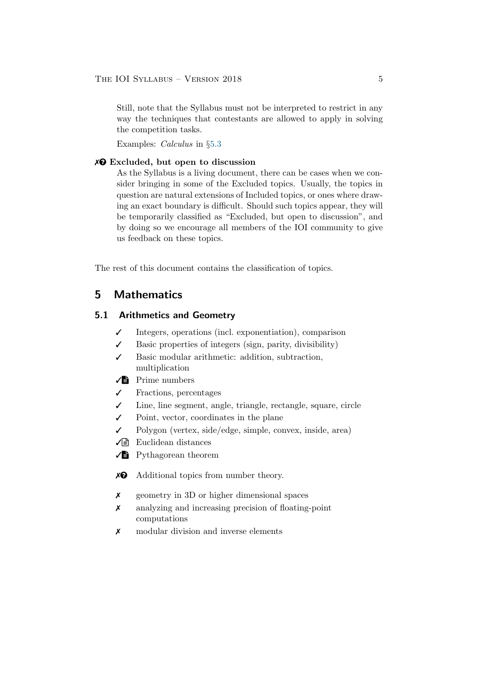Still, note that the Syllabus must not be interpreted to restrict in any way the techniques that contestants are allowed to apply in solving the competition tasks.

Examples: Calculus in §[5.3](#page-7-0)

#### $X<sup>Q</sup>$  Excluded, but open to discussion

As the Syllabus is a living document, there can be cases when we consider bringing in some of the Excluded topics. Usually, the topics in question are natural extensions of Included topics, or ones where drawing an exact boundary is difficult. Should such topics appear, they will be temporarily classified as "Excluded, but open to discussion", and by doing so we encourage all members of the IOI community to give us feedback on these topics.

The rest of this document contains the classification of topics.

## 5 Mathematics

## <span id="page-4-0"></span>5.1 Arithmetics and Geometry

- ✓ Integers, operations (incl. exponentiation), comparison
- $\checkmark$  Basic properties of integers (sign, parity, divisibility)
- ✓ Basic modular arithmetic: addition, subtraction, multiplication
- $\sqrt{\phantom{a}}$  Prime numbers
- ✓ Fractions, percentages
- ✓ Line, line segment, angle, triangle, rectangle, square, circle
- $\checkmark$  Point, vector, coordinates in the plane
- ✓ Polygon (vertex, side/edge, simple, convex, inside, area)
- $\sqrt{\equiv}$  Euclidean distances
- $\sqrt{\frac{1}{2}}$  Pythagorean theorem
- $\chi$ <sup> $\odot$ </sup> Additional topics from number theory.
- ✗ geometry in 3D or higher dimensional spaces
- ✗ analyzing and increasing precision of floating-point computations
- ✗ modular division and inverse elements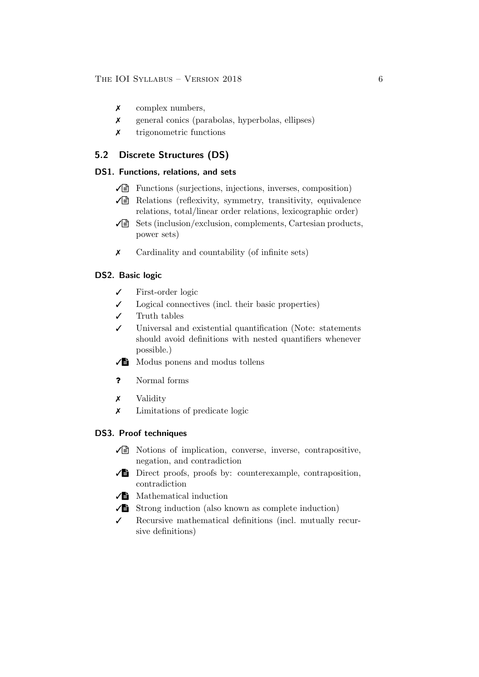- ✗ complex numbers,
- ✗ general conics (parabolas, hyperbolas, ellipses)
- ✗ trigonometric functions

## <span id="page-5-0"></span>5.2 Discrete Structures (DS)

## DS1. Functions, relations, and sets

- $\sqrt{\equiv}$  Functions (surjections, injections, inverses, composition)
- $\sqrt{\epsilon}$  Relations (reflexivity, symmetry, transitivity, equivalence relations, total/linear order relations, lexicographic order)
- $\sqrt{\equiv}$  Sets (inclusion/exclusion, complements, Cartesian products, power sets)
- ✗ Cardinality and countability (of infinite sets)

## DS2. Basic logic

- ✓ First-order logic
- $\checkmark$  Logical connectives (incl. their basic properties)
- ✓ Truth tables
- ✓ Universal and existential quantification (Note: statements should avoid definitions with nested quantifiers whenever possible.)
- $\sqrt{\phantom{a}}$  Modus ponens and modus tollens
- ? Normal forms
- ✗ Validity
- ✗ Limitations of predicate logic

## DS3. Proof techniques

- $\sqrt{\equiv}$  Notions of implication, converse, inverse, contrapositive, negation, and contradiction
- $\sqrt{\phantom{a}}$  Direct proofs, proofs by: counterexample, contraposition, contradiction
- $\sqrt{\frac{1}{2}}$  Mathematical induction
- $\sqrt{\phantom{a}}$  Strong induction (also known as complete induction)
- ✓ Recursive mathematical definitions (incl. mutually recursive definitions)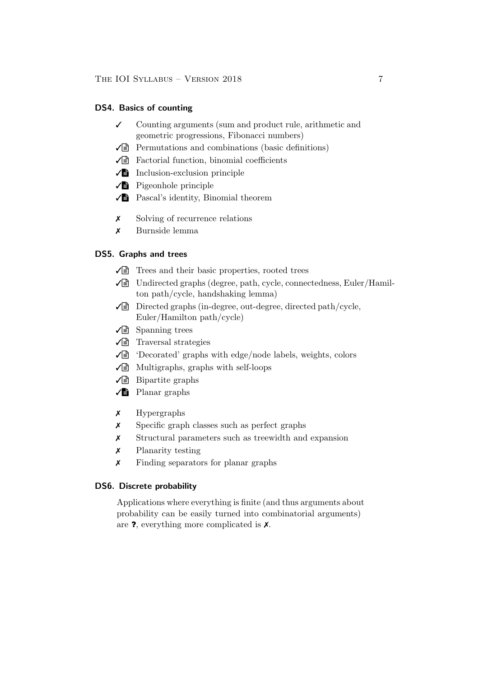#### DS4. Basics of counting

- ✓ Counting arguments (sum and product rule, arithmetic and geometric progressions, Fibonacci numbers)
- $\sqrt{\equiv}$  Permutations and combinations (basic definitions)
- $\sqrt{\equiv}$  Factorial function, binomial coefficients
- $\sqrt{\Xi}$  Inclusion-exclusion principle
- $\sqrt{\phantom{a}}$  Pigeonhole principle
- ✓V Pascal's identity, Binomial theorem
- ✗ Solving of recurrence relations
- ✗ Burnside lemma

## DS5. Graphs and trees

- $\sqrt{\equiv}$  Trees and their basic properties, rooted trees
- $\sqrt{\equiv}$  Undirected graphs (degree, path, cycle, connectedness, Euler/Hamilton path/cycle, handshaking lemma)
- $\sqrt{\equiv}$  Directed graphs (in-degree, out-degree, directed path/cycle, Euler/Hamilton path/cycle)
- $\sqrt{\equiv}$  Spanning trees
- $\sqrt{\equiv}$  Traversal strategies
- $\sqrt{\equiv}$  'Decorated' graphs with edge/node labels, weights, colors
- $\sqrt{\equiv}$  Multigraphs, graphs with self-loops
- $\sqrt{\equiv}$  Bipartite graphs
- $\sqrt{\phantom{a}}$  Planar graphs
- ✗ Hypergraphs
- ✗ Specific graph classes such as perfect graphs
- ✗ Structural parameters such as treewidth and expansion
- ✗ Planarity testing
- ✗ Finding separators for planar graphs

### DS6. Discrete probability

Applications where everything is finite (and thus arguments about probability can be easily turned into combinatorial arguments) are ?, everything more complicated is ✗.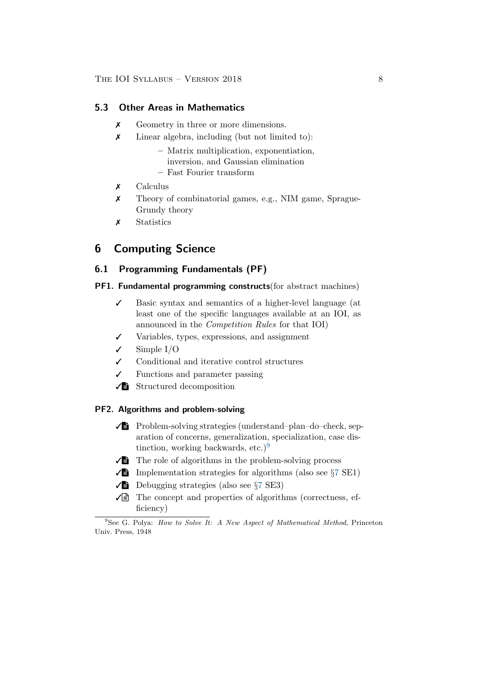### <span id="page-7-0"></span>5.3 Other Areas in Mathematics

- ✗ Geometry in three or more dimensions.
- ✗ Linear algebra, including (but not limited to):
	- Matrix multiplication, exponentiation, inversion, and Gaussian elimination
	- Fast Fourier transform
- ✗ Calculus
- ✗ Theory of combinatorial games, e.g., NIM game, Sprague-Grundy theory
- ✗ Statistics

## 6 Computing Science

## <span id="page-7-2"></span>6.1 Programming Fundamentals (PF)

#### PF1. Fundamental programming constructs(for abstract machines)

- ✓ Basic syntax and semantics of a higher-level language (at least one of the specific languages available at an IOI, as announced in the Competition Rules for that IOI)
- ✓ Variables, types, expressions, and assignment
- $\checkmark$  Simple I/O
- ✓ Conditional and iterative control structures
- $\checkmark$  Functions and parameter passing
- $\sqrt{\Xi}$  Structured decomposition

## PF2. Algorithms and problem-solving

- $\sqrt{\phantom{a}}$  Problem-solving strategies (understand–plan–do–check, separation of concerns, generalization, specialization, case dis-tinction, working backwards, etc.)<sup>[9](#page-7-1)</sup>
- $\sqrt{\phantom{a}}$  The role of algorithms in the problem-solving process
- $\sqrt{\phantom{a}}$  Implementation strategies for algorithms (also see §[7](#page-15-0) SE1)
- $\sqrt{\phantom{a}}$  Debugging strategies (also see  $\S$ [7](#page-15-0) SE3)
- $\sqrt{\equiv}$  The concept and properties of algorithms (correctness, efficiency)

<span id="page-7-1"></span> $9$ See G. Polya: How to Solve It: A New Aspect of Mathematical Method, Princeton Univ. Press, 1948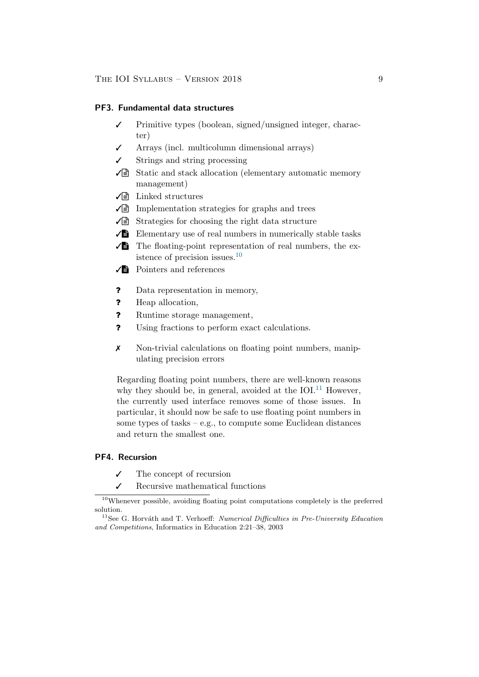#### PF3. Fundamental data structures

- Primitive types (boolean, signed/unsigned integer, character)
- ✓ Arrays (incl. multicolumn dimensional arrays)
- Strings and string processing
- $\sqrt{\equiv}$  Static and stack allocation (elementary automatic memory management)
- $\sqrt{\equiv}$  Linked structures
- $\sqrt{\epsilon}$  Implementation strategies for graphs and trees
- $\sqrt{\equiv}$  Strategies for choosing the right data structure
- $\sqrt{\Xi}$  Elementary use of real numbers in numerically stable tasks
- $\sqrt{\Xi}$  The floating-point representation of real numbers, the existence of precision issues. $10$
- $\sqrt{\frac{1}{2}}$  Pointers and references
- ? Data representation in memory,
- ? Heap allocation,
- ? Runtime storage management,
- ? Using fractions to perform exact calculations.
- ✗ Non-trivial calculations on floating point numbers, manipulating precision errors

Regarding floating point numbers, there are well-known reasons why they should be, in general, avoided at the IOI.<sup>[11](#page-8-1)</sup> However, the currently used interface removes some of those issues. In particular, it should now be safe to use floating point numbers in some types of tasks – e.g., to compute some Euclidean distances and return the smallest one.

### PF4. Recursion

- ✓ The concept of recursion
- $\checkmark$  Recursive mathematical functions

<span id="page-8-0"></span><sup>&</sup>lt;sup>10</sup>Whenever possible, avoiding floating point computations completely is the preferred solution.

<span id="page-8-1"></span> $11$ See G. Horváth and T. Verhoeff: *Numerical Difficulties in Pre-University Education* and Competitions, Informatics in Education 2:21–38, 2003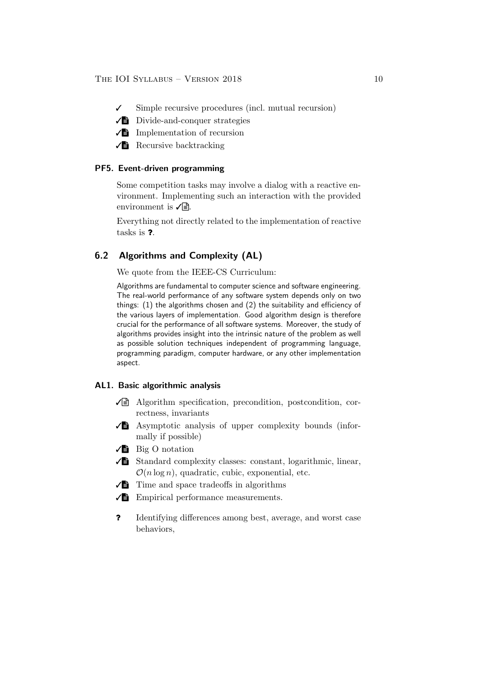- ✓ Simple recursive procedures (incl. mutual recursion)
- $\sqrt{\Xi}$  Divide-and-conquer strategies
- $\sqrt{\Xi}$  Implementation of recursion
- $\sqrt{\frac{1}{2}}$  Recursive backtracking

#### PF5. Event-driven programming

Some competition tasks may involve a dialog with a reactive environment. Implementing such an interaction with the provided environment is  $\sqrt{\mathbb{B}}$ .

Everything not directly related to the implementation of reactive tasks is ?.

## <span id="page-9-0"></span>6.2 Algorithms and Complexity (AL)

We quote from the IEEE-CS Curriculum:

Algorithms are fundamental to computer science and software engineering. The real-world performance of any software system depends only on two things: (1) the algorithms chosen and (2) the suitability and efficiency of the various layers of implementation. Good algorithm design is therefore crucial for the performance of all software systems. Moreover, the study of algorithms provides insight into the intrinsic nature of the problem as well as possible solution techniques independent of programming language, programming paradigm, computer hardware, or any other implementation aspect.

#### AL1. Basic algorithmic analysis

- $\sqrt{\equiv}$  Algorithm specification, precondition, postcondition, correctness, invariants
- $\sqrt{\phantom{a}}$  Asymptotic analysis of upper complexity bounds (informally if possible)
- $\sqrt{\phantom{a}}\phantom{a}$  Big O notation
- $\sqrt{\phantom{a}}$  Standard complexity classes: constant, logarithmic, linear,  $\mathcal{O}(n \log n)$ , quadratic, cubic, exponential, etc.
- $\sqrt{\phantom{a}}$  Time and space tradeoffs in algorithms
- $\sqrt{\frac{1}{2}}$  Empirical performance measurements.
- ? Identifying differences among best, average, and worst case behaviors,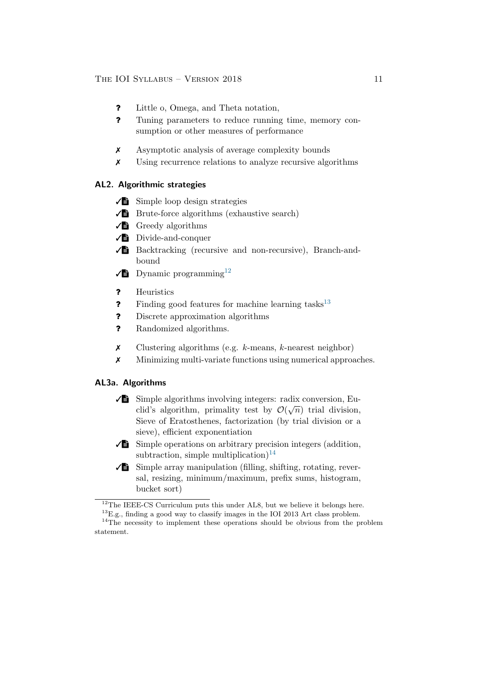- ? Little o, Omega, and Theta notation,
- ? Tuning parameters to reduce running time, memory consumption or other measures of performance
- ✗ Asymptotic analysis of average complexity bounds
- ✗ Using recurrence relations to analyze recursive algorithms

### AL2. Algorithmic strategies

- $\sqrt{\Xi}$  Simple loop design strategies
- $\sqrt{\phantom{a}}$  Brute-force algorithms (exhaustive search)
- $\sqrt{\phantom{a}}$  Greedy algorithms
- $\sqrt{\phantom{a}}$  Divide-and-conquer
- $\sqrt{\frac{1}{2}}$  Backtracking (recursive and non-recursive), Branch-andbound
- $\sqrt{\phantom{a}}$  Dynamic programming<sup>[12](#page-10-0)</sup>
- ? Heuristics
- **?** Finding good features for machine learning tasks<sup>[13](#page-10-1)</sup>
- ? Discrete approximation algorithms
- ? Randomized algorithms.
- $\chi$  Clustering algorithms (e.g. k-means, k-nearest neighbor)
- ✗ Minimizing multi-variate functions using numerical approaches.

### AL3a. Algorithms

- $\sqrt{\phantom{a}}$  Simple algorithms involving integers: radix conversion, Euclid's algorithm, primality test by  $\mathcal{O}(\sqrt{n})$  trial division, Sieve of Eratosthenes, factorization (by trial division or a sieve), efficient exponentiation
- $\sqrt{\phantom{a}}$  Simple operations on arbitrary precision integers (addition, subtraction, simple multiplication)<sup>[14](#page-10-2)</sup>
- $\sqrt{\phantom{a}}$  Simple array manipulation (filling, shifting, rotating, reversal, resizing, minimum/maximum, prefix sums, histogram, bucket sort)

<span id="page-10-0"></span><sup>&</sup>lt;sup>12</sup>The IEEE-CS Curriculum puts this under AL8, but we believe it belongs here.

<span id="page-10-2"></span><span id="page-10-1"></span> $^{13}$  E.g., finding a good way to classify images in the IOI 2013 Art class problem.

<sup>&</sup>lt;sup>14</sup>The necessity to implement these operations should be obvious from the problem statement.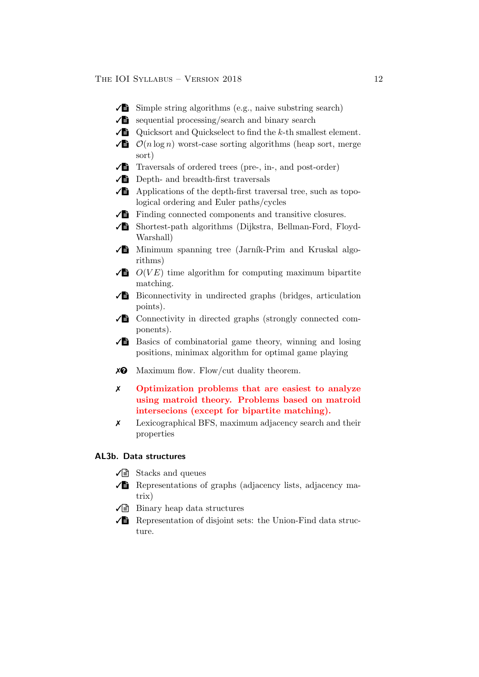- $\sqrt{\phantom{a}}$  Simple string algorithms (e.g., naive substring search)
- $\sqrt{\phantom{a}}$  sequential processing/search and binary search
- $\sqrt{\mathbf{B}}$  Quicksort and Quickselect to find the k-th smallest element.
- $\sqrt{\mathbf{B}}$   $\mathcal{O}(n \log n)$  worst-case sorting algorithms (heap sort, merge sort)
- $\sqrt{\phantom{a}}$  Traversals of ordered trees (pre-, in-, and post-order)
- $\sqrt{\phantom{a}}$  Depth- and breadth-first traversals
- $\sqrt{\phantom{a}}$  Applications of the depth-first traversal tree, such as topological ordering and Euler paths/cycles
- $\sqrt{\phantom{a}}\phantom{a}$  Finding connected components and transitive closures.
- ✓V Shortest-path algorithms (Dijkstra, Bellman-Ford, Floyd-Warshall)
- $\sqrt{\phantom{a}}$  Minimum spanning tree (Jarník-Prim and Kruskal algorithms)
- $\sqrt{\mathbf{B}}$   $O(VE)$  time algorithm for computing maximum bipartite matching.
- $\sqrt{\Xi}$  Biconnectivity in undirected graphs (bridges, articulation points).
- $\sqrt{\phantom{a}}$  Connectivity in directed graphs (strongly connected components).
- $\sqrt{\phantom{a}}$  Basics of combinatorial game theory, winning and losing positions, minimax algorithm for optimal game playing
- $\times$  Maximum flow. Flow/cut duality theorem.
- ✗ Optimization problems that are easiest to analyze using matroid theory. Problems based on matroid intersecions (except for bipartite matching).
- ✗ Lexicographical BFS, maximum adjacency search and their properties

## AL3b. Data structures

- $\sqrt{\equiv}$  Stacks and queues
- $\sqrt{\phantom{a}}$  Representations of graphs (adjacency lists, adjacency matrix)
- $\sqrt{\equiv}$  Binary heap data structures
- $\sqrt{\Xi}$  Representation of disjoint sets: the Union-Find data structure.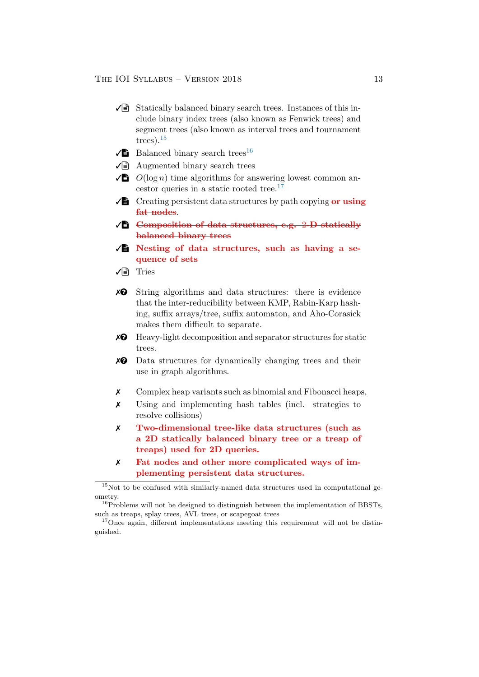- $\sqrt{\equiv}$  Statically balanced binary search trees. Instances of this include binary index trees (also known as Fenwick trees) and segment trees (also known as interval trees and tournament trees). $15$
- $\sqrt{\phantom{a}}$  Balanced binary search trees<sup>[16](#page-12-1)</sup>
- $\sqrt{\epsilon}$  Augmented binary search trees
- $\sqrt{\mathbf{B}}$   $O(\log n)$  time algorithms for answering lowest common an-cestor queries in a static rooted tree.<sup>[17](#page-12-2)</sup>
- $\sqrt{\frac{3}{2}}$  Creating persistent data structures by path copying or using fat nodes.
- $\sqrt{\mathbf{B}}$  Composition of data structures, e.g. 2-D statically balanced binary trees
- $\sqrt{\frac{1}{2}}$  Nesting of data structures, such as having a sequence of sets
- $\sqrt{\exists}$  Tries
- $\mathbf{\times} \mathbf{\Theta}$  String algorithms and data structures: there is evidence that the inter-reducibility between KMP, Rabin-Karp hashing, suffix arrays/tree, suffix automaton, and Aho-Corasick makes them difficult to separate.
- $\chi$ <sup> $\odot$ </sup> Heavy-light decomposition and separator structures for static trees.
- $\chi$ <sup> $\odot$ </sup> Data structures for dynamically changing trees and their use in graph algorithms.
- ✗ Complex heap variants such as binomial and Fibonacci heaps,
- ✗ Using and implementing hash tables (incl. strategies to resolve collisions)
- ✗ Two-dimensional tree-like data structures (such as a 2D statically balanced binary tree or a treap of treaps) used for 2D queries.
- ✗ Fat nodes and other more complicated ways of implementing persistent data structures.

<span id="page-12-0"></span> $15$ Not to be confused with similarly-named data structures used in computational geometry.

<span id="page-12-1"></span> $16$ Problems will not be designed to distinguish between the implementation of BBSTs, such as treaps, splay trees, AVL trees, or scapegoat trees

<span id="page-12-2"></span><sup>&</sup>lt;sup>17</sup>Once again, different implementations meeting this requirement will not be distinguished.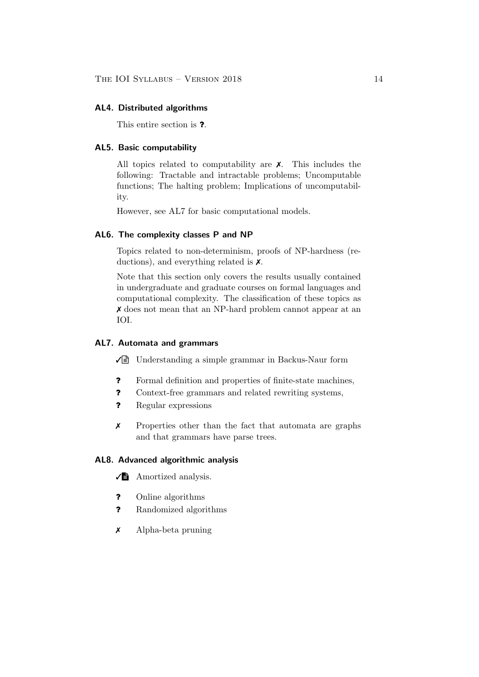#### AL4. Distributed algorithms

This entire section is ?.

### AL5. Basic computability

All topics related to computability are ✗. This includes the following: Tractable and intractable problems; Uncomputable functions; The halting problem; Implications of uncomputability.

However, see AL7 for basic computational models.

#### AL6. The complexity classes P and NP

Topics related to non-determinism, proofs of NP-hardness (reductions), and everything related is ✗.

Note that this section only covers the results usually contained in undergraduate and graduate courses on formal languages and computational complexity. The classification of these topics as ✗ does not mean that an NP-hard problem cannot appear at an IOI.

### AL7. Automata and grammars

 $\sqrt{\equiv}$  Understanding a simple grammar in Backus-Naur form

- ? Formal definition and properties of finite-state machines,
- ? Context-free grammars and related rewriting systems,
- ? Regular expressions
- ✗ Properties other than the fact that automata are graphs and that grammars have parse trees.

#### AL8. Advanced algorithmic analysis

 $\sqrt{\phantom{a}}$  Amortized analysis.

- ? Online algorithms
- ? Randomized algorithms
- ✗ Alpha-beta pruning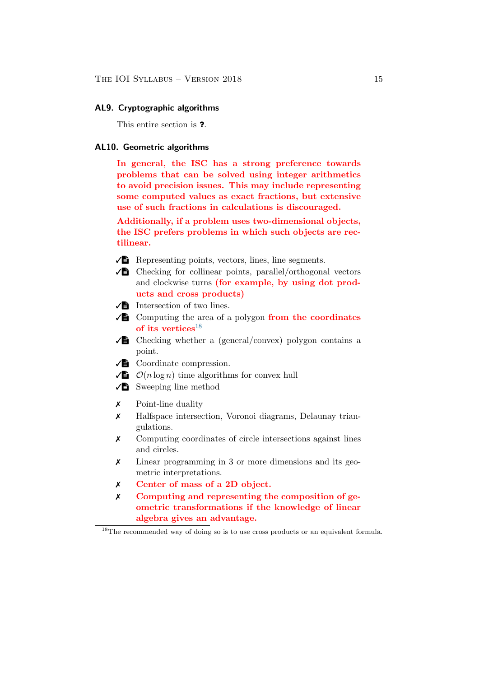#### AL9. Cryptographic algorithms

This entire section is ?.

### AL10. Geometric algorithms

In general, the ISC has a strong preference towards problems that can be solved using integer arithmetics to avoid precision issues. This may include representing some computed values as exact fractions, but extensive use of such fractions in calculations is discouraged.

Additionally, if a problem uses two-dimensional objects, the ISC prefers problems in which such objects are rectilinear.

 $\sqrt{\phantom{a}}$  Representing points, vectors, lines, line segments.

- $\sqrt{\phantom{a}}$  Checking for collinear points, parallel/orthogonal vectors and clockwise turns (for example, by using dot products and cross products)
- $\sqrt{\frac{1}{2}}$  Intersection of two lines.
- $\sqrt{\phantom{a}}$  Computing the area of a polygon from the coordinates of its vertices $^{18}$  $^{18}$  $^{18}$
- $\sqrt{\phantom{a}}$  Checking whether a (general/convex) polygon contains a point.
- $\sqrt{\phantom{a}}$  Coordinate compression.
- $\sqrt{\frac{1}{2}}$   $\mathcal{O}(n \log n)$  time algorithms for convex hull
- $\sqrt{\phantom{a}}$  Sweeping line method
- ✗ Point-line duality
- ✗ Halfspace intersection, Voronoi diagrams, Delaunay triangulations.
- ✗ Computing coordinates of circle intersections against lines and circles.
- ✗ Linear programming in 3 or more dimensions and its geometric interpretations.
- ✗ Center of mass of a 2D object.
- ✗ Computing and representing the composition of geometric transformations if the knowledge of linear algebra gives an advantage.

<span id="page-14-0"></span><sup>&</sup>lt;sup>18</sup>The recommended way of doing so is to use cross products or an equivalent formula.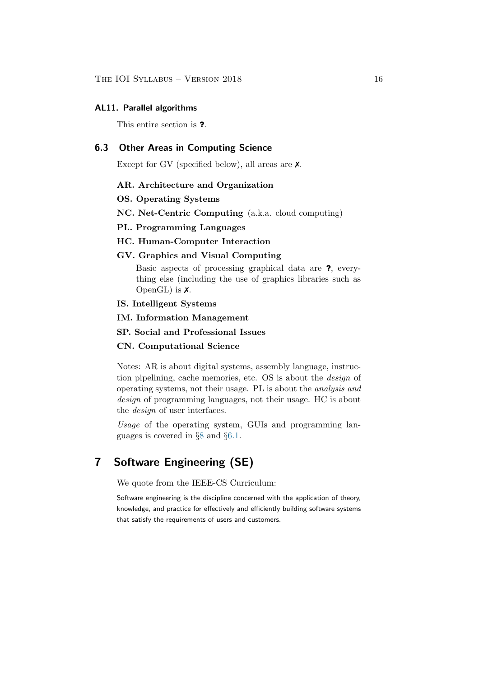#### AL11. Parallel algorithms

This entire section is ?.

## 6.3 Other Areas in Computing Science

Except for GV (specified below), all areas are  $\chi$ .

#### AR. Architecture and Organization

## OS. Operating Systems

NC. Net-Centric Computing (a.k.a. cloud computing)

#### PL. Programming Languages

#### HC. Human-Computer Interaction

#### GV. Graphics and Visual Computing

Basic aspects of processing graphical data are ?, everything else (including the use of graphics libraries such as OpenGL) is  $\chi$ .

#### IS. Intelligent Systems

- IM. Information Management
- SP. Social and Professional Issues

#### CN. Computational Science

Notes: AR is about digital systems, assembly language, instruction pipelining, cache memories, etc. OS is about the design of operating systems, not their usage. PL is about the analysis and design of programming languages, not their usage. HC is about the *design* of user interfaces.

Usage of the operating system, GUIs and programming languages is covered in §[8](#page-19-0) and §[6.1.](#page-7-2)

## <span id="page-15-0"></span>7 Software Engineering (SE)

We quote from the IEEE-CS Curriculum:

Software engineering is the discipline concerned with the application of theory, knowledge, and practice for effectively and efficiently building software systems that satisfy the requirements of users and customers.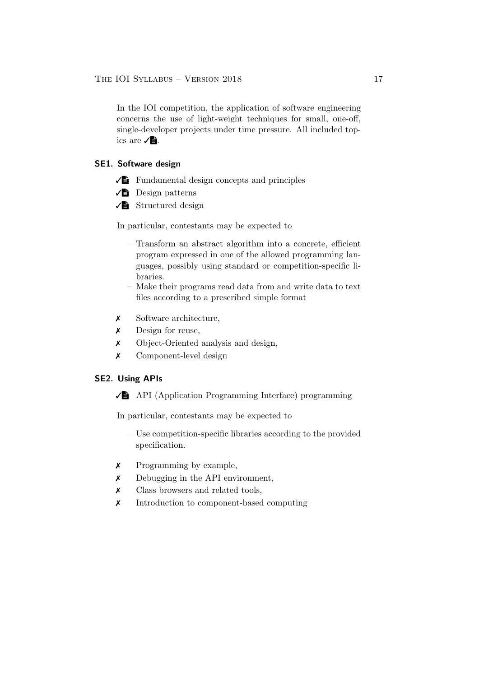In the IOI competition, the application of software engineering concerns the use of light-weight techniques for small, one-off, single-developer projects under time pressure. All included topics are  $√$ **E**.

## SE1. Software design

- $\sqrt{\phantom{a}}$  Fundamental design concepts and principles
- $\sqrt{\phantom{a}}$  Design patterns
- ✓V Structured design

In particular, contestants may be expected to

- Transform an abstract algorithm into a concrete, efficient program expressed in one of the allowed programming languages, possibly using standard or competition-specific libraries.
- Make their programs read data from and write data to text files according to a prescribed simple format
- ✗ Software architecture,
- ✗ Design for reuse,
- ✗ Object-Oriented analysis and design,
- ✗ Component-level design

#### SE2. Using APIs

 $\sqrt{\phantom{a}}$  API (Application Programming Interface) programming

In particular, contestants may be expected to

- Use competition-specific libraries according to the provided specification.
- ✗ Programming by example,
- ✗ Debugging in the API environment,
- ✗ Class browsers and related tools,
- ✗ Introduction to component-based computing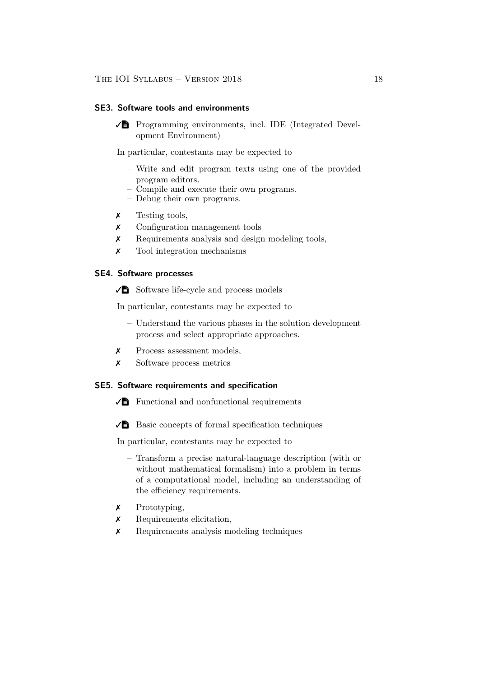### SE3. Software tools and environments

 $\sqrt{\phantom{a}}$  Programming environments, incl. IDE (Integrated Development Environment)

In particular, contestants may be expected to

- Write and edit program texts using one of the provided program editors.
- Compile and execute their own programs.
- Debug their own programs.
- ✗ Testing tools,
- ✗ Configuration management tools
- ✗ Requirements analysis and design modeling tools,
- ✗ Tool integration mechanisms

#### SE4. Software processes

✓V Software life-cycle and process models

In particular, contestants may be expected to

- Understand the various phases in the solution development process and select appropriate approaches.
- ✗ Process assessment models,
- ✗ Software process metrics

### SE5. Software requirements and specification

- $\sqrt{\phantom{a}}$  Functional and nonfunctional requirements
- $\sqrt{\phantom{a}}$  Basic concepts of formal specification techniques

In particular, contestants may be expected to

- Transform a precise natural-language description (with or without mathematical formalism) into a problem in terms of a computational model, including an understanding of the efficiency requirements.
- ✗ Prototyping,
- ✗ Requirements elicitation,
- ✗ Requirements analysis modeling techniques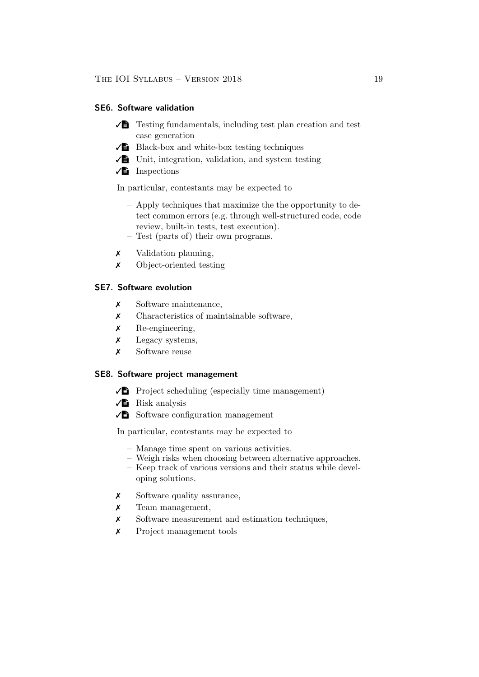### SE6. Software validation

- $\sqrt{\Xi}$  Testing fundamentals, including test plan creation and test case generation
- $\sqrt{\phantom{a}}$  Black-box and white-box testing techniques
- $\sqrt{\phantom{a}}$  Unit, integration, validation, and system testing
- $\sqrt{\frac{1}{2}}$  Inspections

In particular, contestants may be expected to

- Apply techniques that maximize the the opportunity to detect common errors (e.g. through well-structured code, code review, built-in tests, test execution).
- Test (parts of) their own programs.
- ✗ Validation planning,
- ✗ Object-oriented testing

## SE7. Software evolution

- ✗ Software maintenance,
- ✗ Characteristics of maintainable software,
- ✗ Re-engineering,
- ✗ Legacy systems,
- ✗ Software reuse

### SE8. Software project management

- $\sqrt{\phantom{a}}$  Project scheduling (especially time management)
- $\sqrt{\phantom{a}}$  Risk analysis
- $\sqrt{\phantom{a}}$  Software configuration management

In particular, contestants may be expected to

- Manage time spent on various activities.
- Weigh risks when choosing between alternative approaches. – Keep track of various versions and their status while devel-
- oping solutions.
- ✗ Software quality assurance,
- ✗ Team management,
- ✗ Software measurement and estimation techniques,
- ✗ Project management tools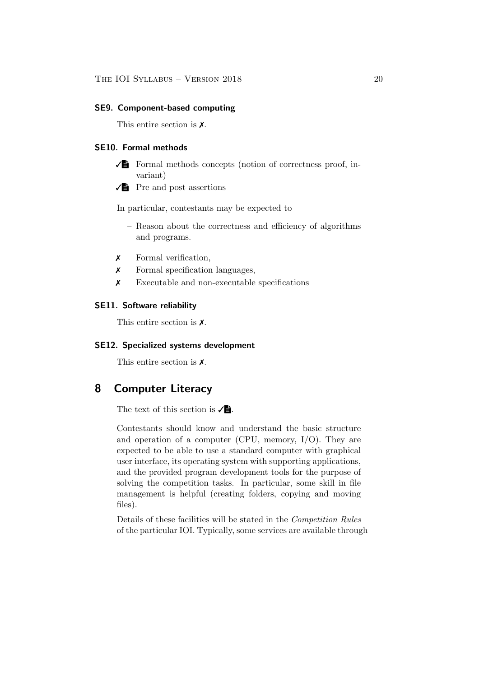#### SE9. Component-based computing

This entire section is ✗.

### SE10. Formal methods

- $\sqrt{\phantom{a}}$  Formal methods concepts (notion of correctness proof, invariant)
- $\sqrt{\frac{1}{2}}$  Pre and post assertions

In particular, contestants may be expected to

- Reason about the correctness and efficiency of algorithms and programs.
- ✗ Formal verification,
- ✗ Formal specification languages,
- ✗ Executable and non-executable specifications

## SE11. Software reliability

This entire section is ✗.

#### SE12. Specialized systems development

This entire section is ✗.

## <span id="page-19-0"></span>8 Computer Literacy

The text of this section is  $\sqrt{\mathbf{B}}$ .

Contestants should know and understand the basic structure and operation of a computer (CPU, memory, I/O). They are expected to be able to use a standard computer with graphical user interface, its operating system with supporting applications, and the provided program development tools for the purpose of solving the competition tasks. In particular, some skill in file management is helpful (creating folders, copying and moving files).

Details of these facilities will be stated in the Competition Rules of the particular IOI. Typically, some services are available through